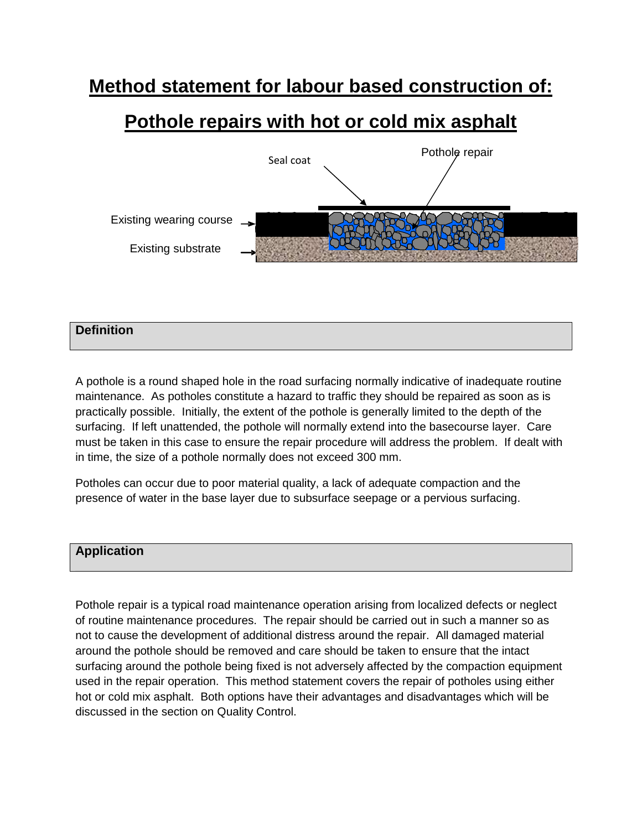# **Method statement for labour based construction of:**

# **Pothole repairs with hot or cold mix asphalt**



# **Definition**

A pothole is a round shaped hole in the road surfacing normally indicative of inadequate routine maintenance. As potholes constitute a hazard to traffic they should be repaired as soon as is practically possible. Initially, the extent of the pothole is generally limited to the depth of the surfacing. If left unattended, the pothole will normally extend into the basecourse layer. Care must be taken in this case to ensure the repair procedure will address the problem. If dealt with in time, the size of a pothole normally does not exceed 300 mm.

Potholes can occur due to poor material quality, a lack of adequate compaction and the presence of water in the base layer due to subsurface seepage or a pervious surfacing.

# **Application**

Pothole repair is a typical road maintenance operation arising from localized defects or neglect of routine maintenance procedures. The repair should be carried out in such a manner so as not to cause the development of additional distress around the repair. All damaged material around the pothole should be removed and care should be taken to ensure that the intact surfacing around the pothole being fixed is not adversely affected by the compaction equipment used in the repair operation. This method statement covers the repair of potholes using either hot or cold mix asphalt. Both options have their advantages and disadvantages which will be discussed in the section on Quality Control.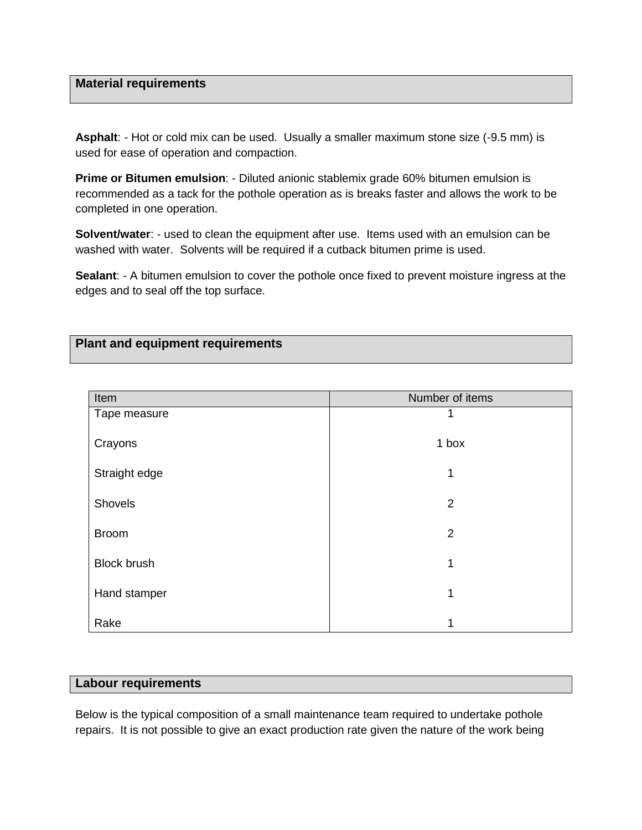#### **Material requirements**

**Asphalt**: - Hot or cold mix can be used. Usually a smaller maximum stone size (-9.5 mm) is used for ease of operation and compaction.

**Prime or Bitumen emulsion**: - Diluted anionic stablemix grade 60% bitumen emulsion is recommended as a tack for the pothole operation as is breaks faster and allows the work to be completed in one operation.

**Solvent/water:** - used to clean the equipment after use. Items used with an emulsion can be washed with water. Solvents will be required if a cutback bitumen prime is used.

**Sealant**: - A bitumen emulsion to cover the pothole once fixed to prevent moisture ingress at the edges and to seal off the top surface.

## **Plant and equipment requirements**

| Item               | Number of items |
|--------------------|-----------------|
| Tape measure       |                 |
| Crayons            | 1 box           |
| Straight edge      | 1               |
|                    |                 |
| Shovels            | $\overline{2}$  |
| <b>Broom</b>       | $\overline{2}$  |
| <b>Block brush</b> | 1               |
| Hand stamper       | 1               |
| Rake               | 1               |

#### **Labour requirements**

Below is the typical composition of a small maintenance team required to undertake pothole repairs. It is not possible to give an exact production rate given the nature of the work being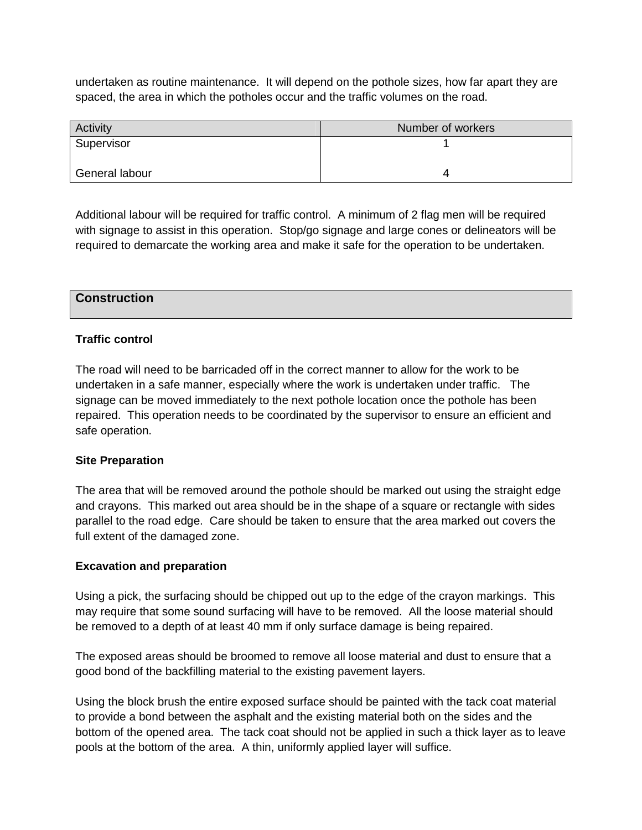undertaken as routine maintenance. It will depend on the pothole sizes, how far apart they are spaced, the area in which the potholes occur and the traffic volumes on the road.

| Activity       | Number of workers |
|----------------|-------------------|
| Supervisor     |                   |
| General labour |                   |

Additional labour will be required for traffic control. A minimum of 2 flag men will be required with signage to assist in this operation. Stop/go signage and large cones or delineators will be required to demarcate the working area and make it safe for the operation to be undertaken.

## **Construction**

## **Traffic control**

The road will need to be barricaded off in the correct manner to allow for the work to be undertaken in a safe manner, especially where the work is undertaken under traffic. The signage can be moved immediately to the next pothole location once the pothole has been repaired. This operation needs to be coordinated by the supervisor to ensure an efficient and safe operation.

#### **Site Preparation**

The area that will be removed around the pothole should be marked out using the straight edge and crayons. This marked out area should be in the shape of a square or rectangle with sides parallel to the road edge. Care should be taken to ensure that the area marked out covers the full extent of the damaged zone.

#### **Excavation and preparation**

Using a pick, the surfacing should be chipped out up to the edge of the crayon markings. This may require that some sound surfacing will have to be removed. All the loose material should be removed to a depth of at least 40 mm if only surface damage is being repaired.

The exposed areas should be broomed to remove all loose material and dust to ensure that a good bond of the backfilling material to the existing pavement layers.

Using the block brush the entire exposed surface should be painted with the tack coat material to provide a bond between the asphalt and the existing material both on the sides and the bottom of the opened area. The tack coat should not be applied in such a thick layer as to leave pools at the bottom of the area. A thin, uniformly applied layer will suffice.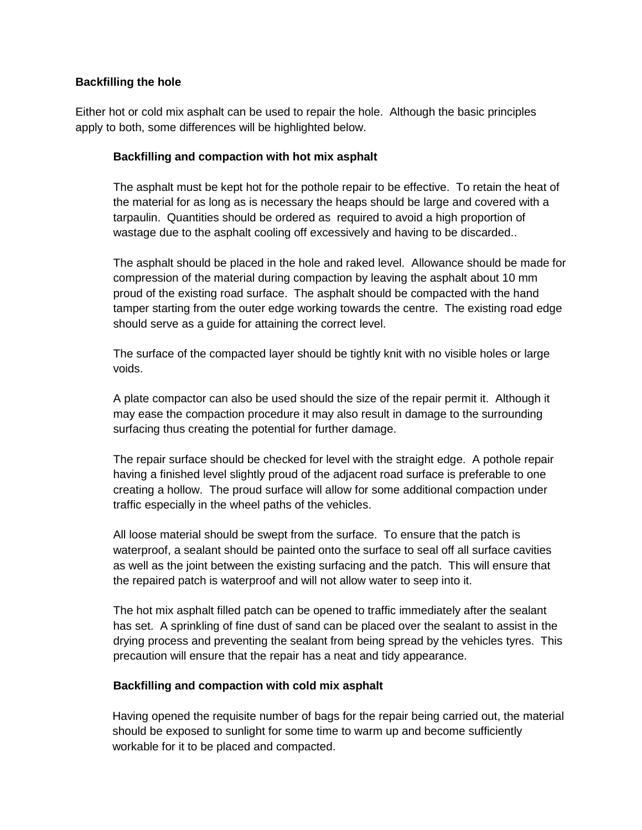## **Backfilling the hole**

Either hot or cold mix asphalt can be used to repair the hole. Although the basic principles apply to both, some differences will be highlighted below.

#### **Backfilling and compaction with hot mix asphalt**

The asphalt must be kept hot for the pothole repair to be effective. To retain the heat of the material for as long as is necessary the heaps should be large and covered with a tarpaulin. Quantities should be ordered as required to avoid a high proportion of wastage due to the asphalt cooling off excessively and having to be discarded..

The asphalt should be placed in the hole and raked level. Allowance should be made for compression of the material during compaction by leaving the asphalt about 10 mm proud of the existing road surface. The asphalt should be compacted with the hand tamper starting from the outer edge working towards the centre. The existing road edge should serve as a guide for attaining the correct level.

The surface of the compacted layer should be tightly knit with no visible holes or large voids.

A plate compactor can also be used should the size of the repair permit it. Although it may ease the compaction procedure it may also result in damage to the surrounding surfacing thus creating the potential for further damage.

The repair surface should be checked for level with the straight edge. A pothole repair having a finished level slightly proud of the adjacent road surface is preferable to one creating a hollow. The proud surface will allow for some additional compaction under traffic especially in the wheel paths of the vehicles.

All loose material should be swept from the surface. To ensure that the patch is waterproof, a sealant should be painted onto the surface to seal off all surface cavities as well as the joint between the existing surfacing and the patch. This will ensure that the repaired patch is waterproof and will not allow water to seep into it.

The hot mix asphalt filled patch can be opened to traffic immediately after the sealant has set. A sprinkling of fine dust of sand can be placed over the sealant to assist in the drying process and preventing the sealant from being spread by the vehicles tyres. This precaution will ensure that the repair has a neat and tidy appearance.

#### **Backfilling and compaction with cold mix asphalt**

Having opened the requisite number of bags for the repair being carried out, the material should be exposed to sunlight for some time to warm up and become sufficiently workable for it to be placed and compacted.